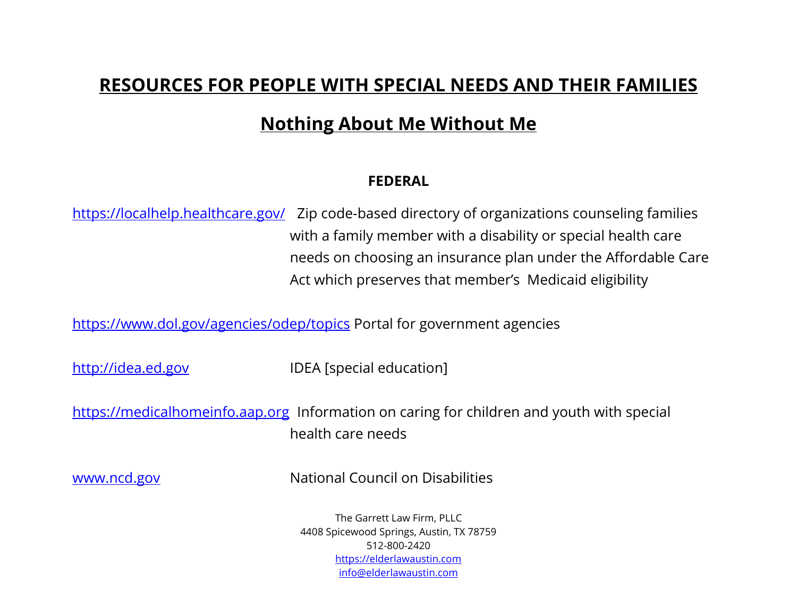## **RESOURCES FOR PEOPLE WITH SPECIAL NEEDS AND THEIR FAMILIES**

# **Nothing About Me Without Me**

### **FEDERAL**

<https://localhelp.healthcare.gov/> Zip code-based directory of organizations counseling families with a family member with a disability or special health care needs on choosing an insurance plan under the Affordable Care Act which preserves that member's Medicaid eligibility

<https://www.dol.gov/agencies/odep/topics>Portal for government agencies

[http://idea.ed.gov](http://idea.ed.gov/) IDEA [special education]

[https://medicalhomeinfo.aap.org](https://medicalhomeinfo.aap.org/) Information on caring for children and youth with special health care needs

[www.ncd.gov](http://www.ncd.gov/) National Council on Disabilities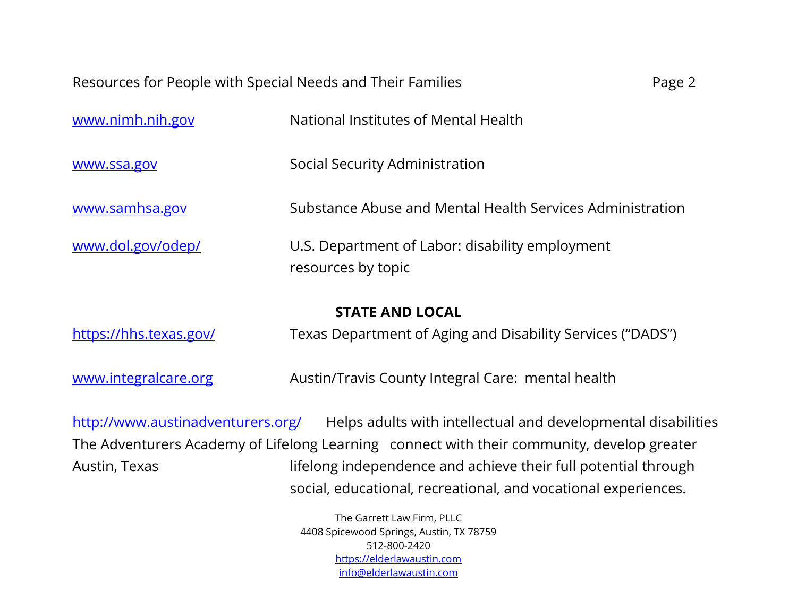| Resources for People with Special Needs and Their Families | Page 2 |
|------------------------------------------------------------|--------|
|------------------------------------------------------------|--------|

| <b>STATE AND LOCAL</b> |                                                                       |
|------------------------|-----------------------------------------------------------------------|
| www.dol.gov/odep/      | U.S. Department of Labor: disability employment<br>resources by topic |
| www.samhsa.gov         | Substance Abuse and Mental Health Services Administration             |
| www.ssa.gov            | Social Security Administration                                        |
| www.nimh.nih.gov       | National Institutes of Mental Health                                  |

<https://hhs.texas.gov/>Texas Department of Aging and Disability Services ("DADS")

[www.integralcare.org](http://www.integralcare.org/) Mustin/Travis County Integral Care: mental health

<http://www.austinadventurers.org/>Helps adults with intellectual and developmental disabilities The Adventurers Academy of Lifelong Learning connect with their community, develop greater Austin, Texas lifelong independence and achieve their full potential through social, educational, recreational, and vocational experiences.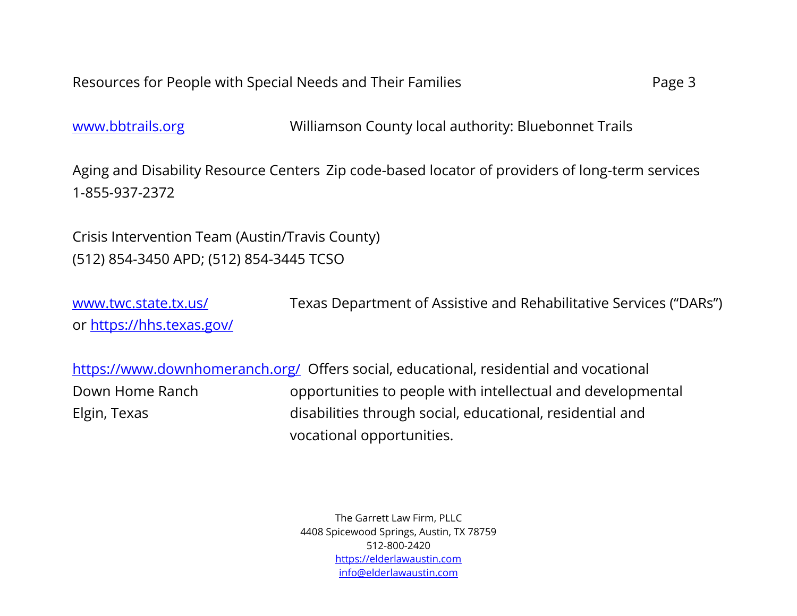[www.bbtrails.org](http://www.bbtrails.org/) Williamson County local authority: Bluebonnet Trails

Aging and Disability Resource Centers Zip code-based locator of providers of long-term services 1-855-937-2372

Crisis Intervention Team (Austin/Travis County) (512) 854-3450 APD; (512) 854-3445 TCSO

[www.twc.state.tx.us/](http://www.twc.state.tx.us/) Texas Department of Assistive and Rehabilitative Services ("DARs") or<https://hhs.texas.gov/>

<https://www.downhomeranch.org/>Offers social, educational, residential and vocational Down Home Ranch opportunities to people with intellectual and developmental Elgin, Texas disabilities through social, educational, residential and vocational opportunities.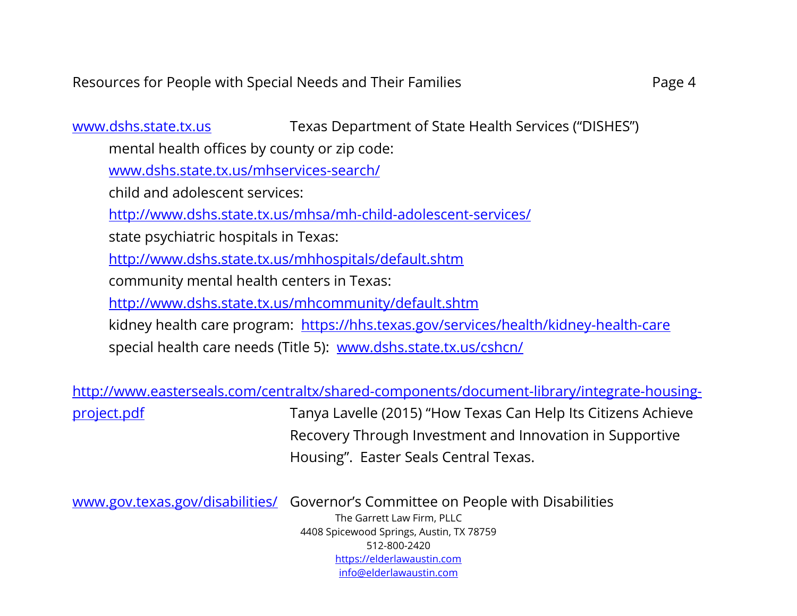[www.dshs.state.tx.us](http://www.dshs.state.tx.us/) Texas Department of State Health Services ("DISHES") mental health offices by county or zip code: [www.dshs.state.tx.us/mhservices-search/](file:///C:/Users/Janis/Downloads/www.dshs.state.tx.us/mhservices-search/)  child and adolescent services: <http://www.dshs.state.tx.us/mhsa/mh-child-adolescent-services/> state psychiatric hospitals in Texas: <http://www.dshs.state.tx.us/mhhospitals/default.shtm> community mental health centers in Texas: <http://www.dshs.state.tx.us/mhcommunity/default.shtm> kidney health care program: <https://hhs.texas.gov/services/health/kidney-health-care> special health care needs (Title 5): [www.dshs.state.tx.us/cshcn/](http://www.dshs.state.tx.us/cshcn/)

[http://www.easterseals.com/centraltx/shared-components/document-library/integrate-housing](http://www.easterseals.com/centraltx/shared-components/document-library/integrate-housing-project.pdf)[project.pdf](http://www.easterseals.com/centraltx/shared-components/document-library/integrate-housing-project.pdf) Tanya Lavelle (2015) "How Texas Can Help Its Citizens Achieve

Recovery Through Investment and Innovation in Supportive Housing". Easter Seals Central Texas.

[www.gov.texas.gov/disabilities/](http://www.gov.texas.gov/disabilities/) Governor's Committee on People with Disabilities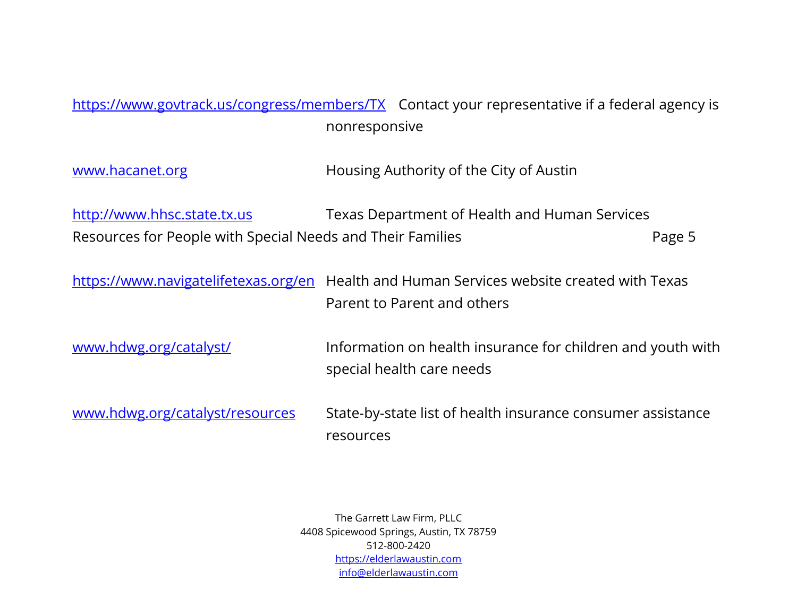## <https://www.govtrack.us/congress/members/TX>Contact your representative if a federal agency is nonresponsive

[www.hacanet.org](http://www.hacanet.org/) Muslim Housing Authority of the City of Austin

[http://www.hhsc.state.tx.us](http://www.hhsc.state.tx.us/) Texas Department of Health and Human Services Resources for People with Special Needs and Their Families **Page 5** Page 5

<https://www.navigatelifetexas.org/en>Health and Human Services website created with Texas Parent to Parent and others

[www.hdwg.org/catalyst/](http://www.hdwg.org/catalyst/) Information on health insurance for children and youth with special health care needs

[www.hdwg.org/catalyst/resources](http://www.hdwg.org/catalyst/resources) State-by-state list of health insurance consumer assistance resources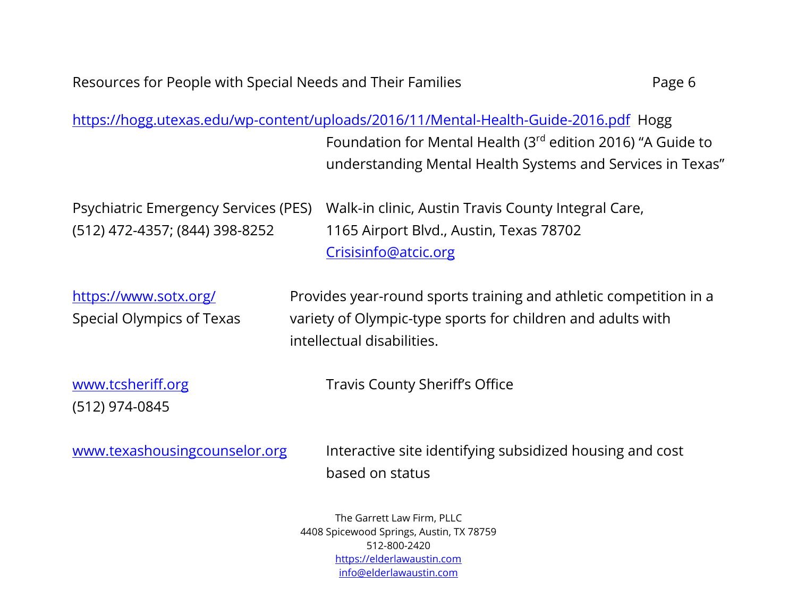<https://hogg.utexas.edu/wp-content/uploads/2016/11/Mental-Health-Guide-2016.pdf>Hogg Foundation for Mental Health (3rd edition 2016) "A Guide to understanding Mental Health Systems and Services in Texas"

Psychiatric Emergency Services (PES) Walk-in clinic, Austin Travis County Integral Care, (512) 472-4357; (844) 398-8252 1165 Airport Blvd., Austin, Texas 78702 [Crisisinfo@atcic.org](mailto:Crisisinfo@atcic.org)

<https://www.sotx.org/>**Provides year-round sports training and athletic competition in a** Special Olympics of Texas variety of Olympic-type sports for children and adults with intellectual disabilities.

(512) 974-0845

[www.tcsheriff.org](http://www.tcsheriff.org/) Travis County Sheriff's Office

[www.texashousingcounselor.org](http://www.texashousingcounselor.org/) lnteractive site identifying subsidized housing and cost based on status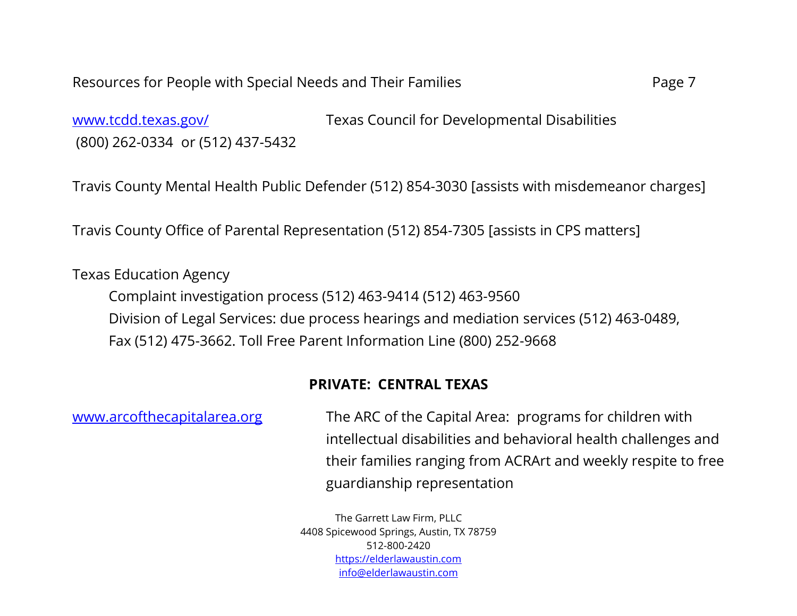[www.tcdd.texas.gov/](http://www.tcdd.texas.gov/) Texas Council for Developmental Disabilities (800) 262-0334 or (512) 437-5432

Travis County Mental Health Public Defender (512) 854-3030 [assists with misdemeanor charges]

Travis County Office of Parental Representation (512) 854-7305 [assists in CPS matters]

Texas Education Agency

Complaint investigation process (512) 463-9414 (512) 463-9560 Division of Legal Services: due process hearings and mediation services (512) 463-0489, Fax (512) 475-3662. Toll Free Parent Information Line (800) 252-9668

### **PRIVATE: CENTRAL TEXAS**

[www.arcofthecapitalarea.org](http://www.arcofthecapitalarea.org/) The ARC of the Capital Area: programs for children with intellectual disabilities and behavioral health challenges and their families ranging from ACRArt and weekly respite to free guardianship representation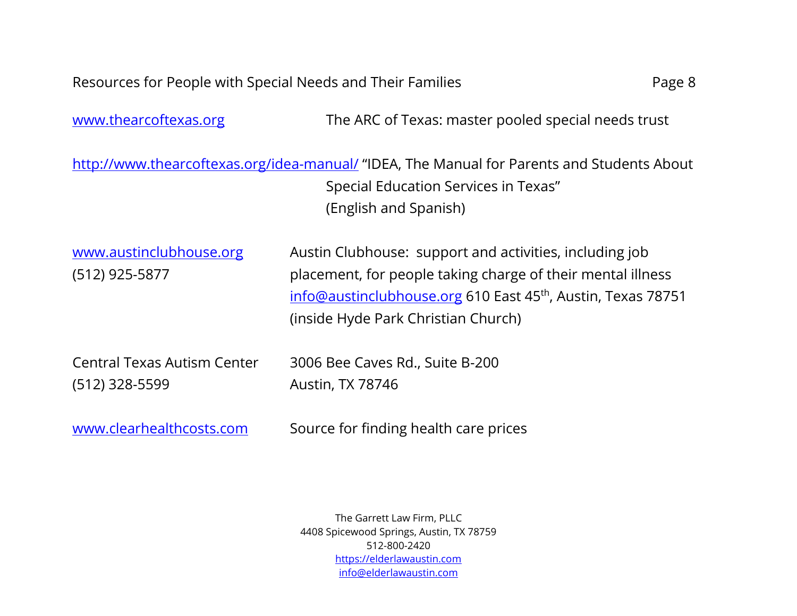[www.thearcoftexas.org](http://www.thearcoftexas.org/) The ARC of Texas: master pooled special needs trust

<http://www.thearcoftexas.org/idea-manual/> "IDEA, The Manual for Parents and Students About Special Education Services in Texas" (English and Spanish)

[www.austinclubhouse.org](http://www.austinclubhouse.org/) Austin Clubhouse: support and activities, including job (512) 925-5877 placement, for people taking charge of their mental illness [info@austinclubhouse.org](mailto:info@austinclubhouse.org) 610 East 45<sup>th</sup>, Austin, Texas 78751 (inside Hyde Park Christian Church)

| Central Texas Autism Center | 3006 Bee Caves Rd., Suite B-200 |
|-----------------------------|---------------------------------|
| $(512)$ 328-5599            | Austin, TX 78746                |

[www.clearhealthcosts.com](http://www.clearhealthcosts.com/) Source for finding health care prices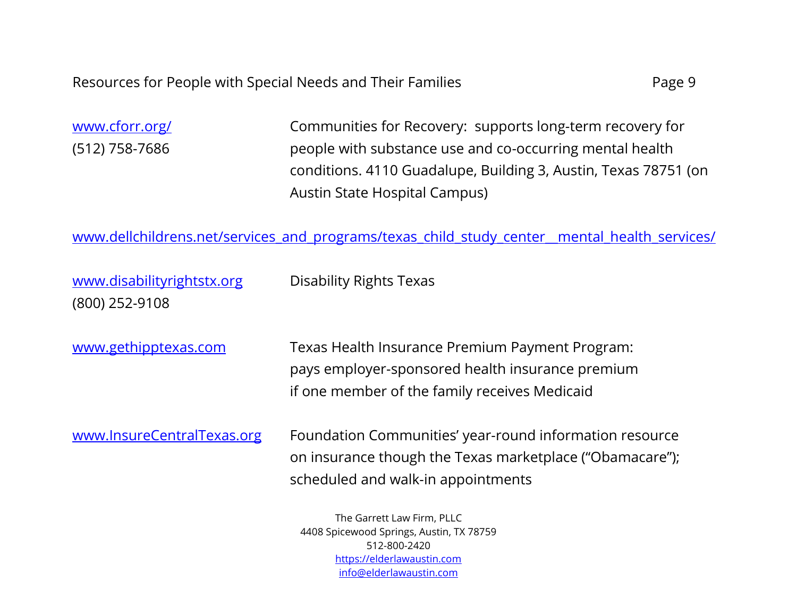[www.cforr.org/](http://www.cforr.org/) Communities for Recovery: supports long-term recovery for (512) 758-7686 people with substance use and co-occurring mental health conditions. 4110 Guadalupe, Building 3, Austin, Texas 78751 (on Austin State Hospital Campus)

[www.dellchildrens.net/services\\_and\\_programs/texas\\_child\\_study\\_center\\_\\_mental\\_health\\_services/](http://www.dellchildrens.net/services_and_programs/texas_child_study_center__mental_health_services/)

| www.disabilityrightstx.org | <b>Disability Rights Texas</b>                                                                                                                            |
|----------------------------|-----------------------------------------------------------------------------------------------------------------------------------------------------------|
| (800) 252-9108             |                                                                                                                                                           |
| www.gethipptexas.com       | Texas Health Insurance Premium Payment Program:<br>pays employer-sponsored health insurance premium<br>if one member of the family receives Medicaid      |
| www.InsureCentralTexas.org | Foundation Communities' year-round information resource<br>on insurance though the Texas marketplace ("Obamacare");<br>scheduled and walk-in appointments |
|                            | The Garrett Law Firm PLLC                                                                                                                                 |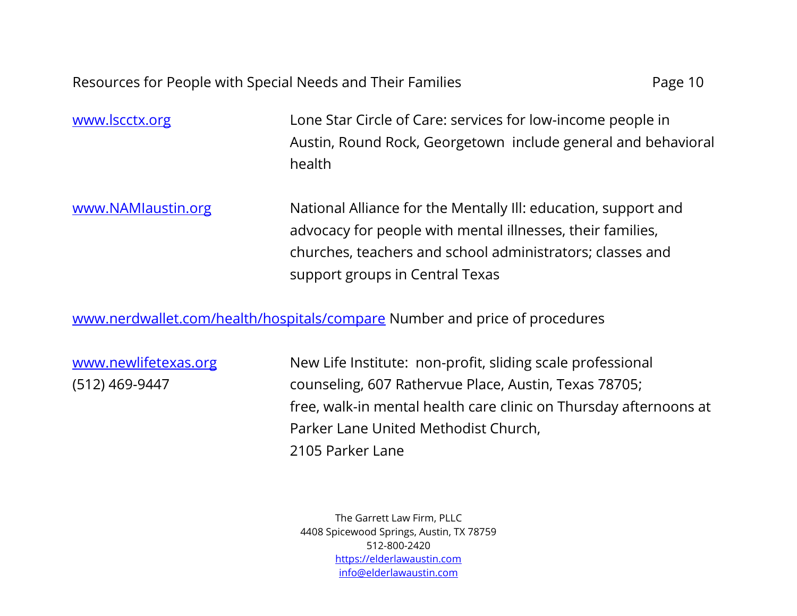[www.lscctx.org](http://www.lscctx.org/) Lone Star Circle of Care: services for low-income people in Austin, Round Rock, Georgetown include general and behavioral health

[www.NAMIaustin.org](http://www.namiaustin.org/) National Alliance for the Mentally III: education, support and advocacy for people with mental illnesses, their families, churches, teachers and school administrators; classes and support groups in Central Texas

[www.nerdwallet.com/health/hospitals/compare](http://www.nerdwallet.com/health/hospitals/compare) Number and price of procedures

[www.newlifetexas.org](http://www.newlifetexas.org/) New Life Institute: non-profit, sliding scale professional (512) 469-9447 counseling, 607 Rathervue Place, Austin, Texas 78705; free, walk-in mental health care clinic on Thursday afternoons at Parker Lane United Methodist Church, 2105 Parker Lane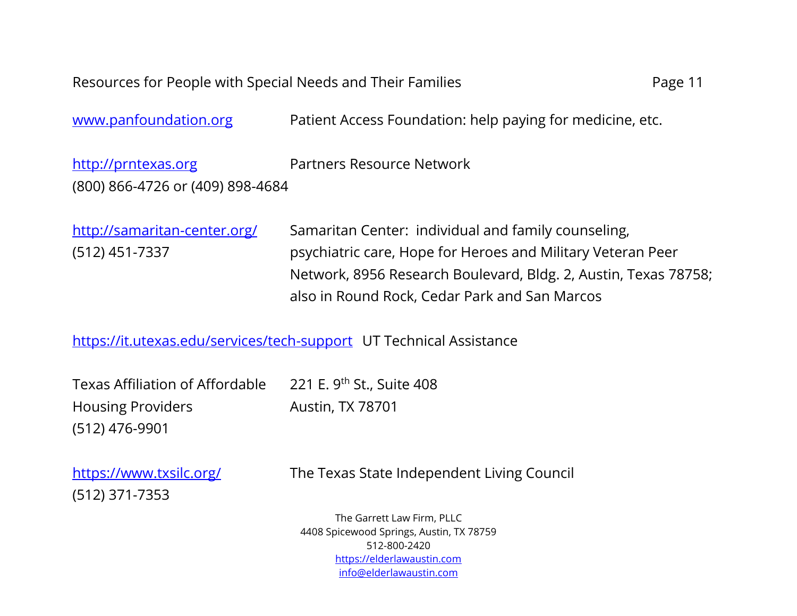| Resources for People with Special Needs and Their Families<br>Page 11 |                                                                                                                                                                                                                                        |  |
|-----------------------------------------------------------------------|----------------------------------------------------------------------------------------------------------------------------------------------------------------------------------------------------------------------------------------|--|
| www.panfoundation.org                                                 | Patient Access Foundation: help paying for medicine, etc.                                                                                                                                                                              |  |
| http://prntexas.org<br>(800) 866-4726 or (409) 898-4684               | Partners Resource Network                                                                                                                                                                                                              |  |
| http://samaritan-center.org/<br>$(512)$ 451-7337                      | Samaritan Center: individual and family counseling,<br>psychiatric care, Hope for Heroes and Military Veteran Peer<br>Network, 8956 Research Boulevard, Bldg. 2, Austin, Texas 78758;<br>also in Round Rock, Cedar Park and San Marcos |  |
| https://it.utexas.edu/services/tech-support UT Technical Assistance   |                                                                                                                                                                                                                                        |  |

| Texas Affiliation of Affordable 221 E. 9th St., Suite 408 |                         |
|-----------------------------------------------------------|-------------------------|
| <b>Housing Providers</b>                                  | <b>Austin, TX 78701</b> |
| (512) 476-9901                                            |                         |
|                                                           |                         |

(512) 371-7353

<https://www.txsilc.org/>The Texas State Independent Living Council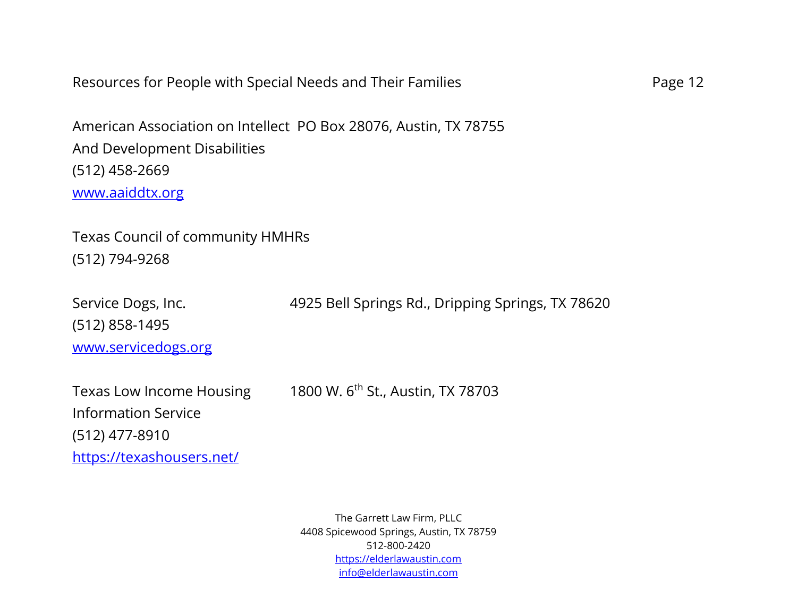| Resources for People with Special Needs and Their Families          |                                                                  | Page 12 |
|---------------------------------------------------------------------|------------------------------------------------------------------|---------|
| And Development Disabilities<br>$(512)$ 458-2669<br>www.aaiddtx.org | American Association on Intellect PO Box 28076, Austin, TX 78755 |         |
| Texas Council of community HMHRs                                    |                                                                  |         |
| $(512)$ 794-9268                                                    |                                                                  |         |
| Service Dogs, Inc.                                                  | 4925 Bell Springs Rd., Dripping Springs, TX 78620                |         |
| $(512)$ 858-1495<br>www.servicedogs.org                             |                                                                  |         |
|                                                                     |                                                                  |         |
| <b>Texas Low Income Housing</b><br><b>Information Service</b>       | 1800 W. 6 <sup>th</sup> St., Austin, TX 78703                    |         |
| $(512)$ 477-8910                                                    |                                                                  |         |
| https://texashousers.net/                                           |                                                                  |         |
|                                                                     |                                                                  |         |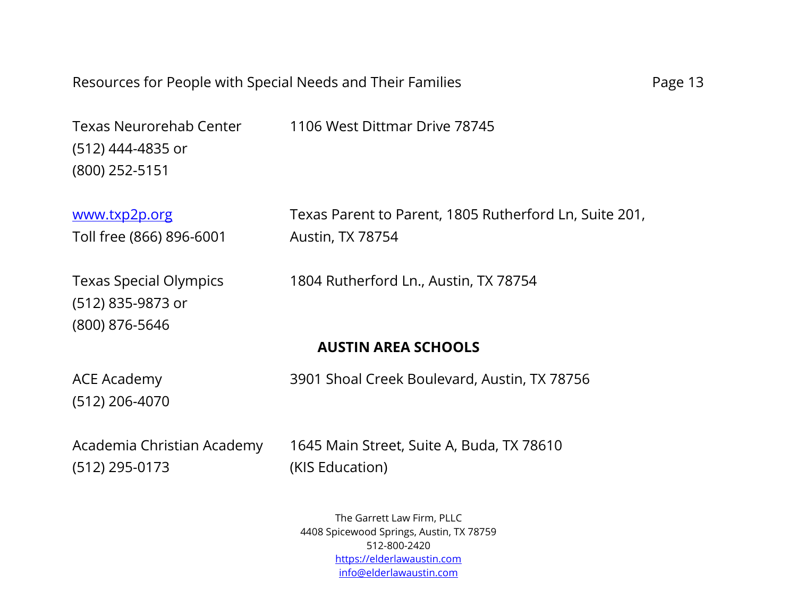Texas Neurorehab Center 1106 West Dittmar Drive 78745 (512) 444-4835 or (800) 252-5151

[www.txp2p.org](http://www.txp2p.org/) Texas Parent to Parent, 1805 Rutherford Ln, Suite 201, Toll free (866) 896-6001 Austin, TX 78754

Texas Special Olympics 1804 Rutherford Ln., Austin, TX 78754

## **AUSTIN AREA SCHOOLS**

(512) 206-4070

(512) 835-9873 or

(800) 876-5646

ACE Academy 3901 Shoal Creek Boulevard, Austin, TX 78756

(512) 295-0173 (KIS Education)

Academia Christian Academy 1645 Main Street, Suite A, Buda, TX 78610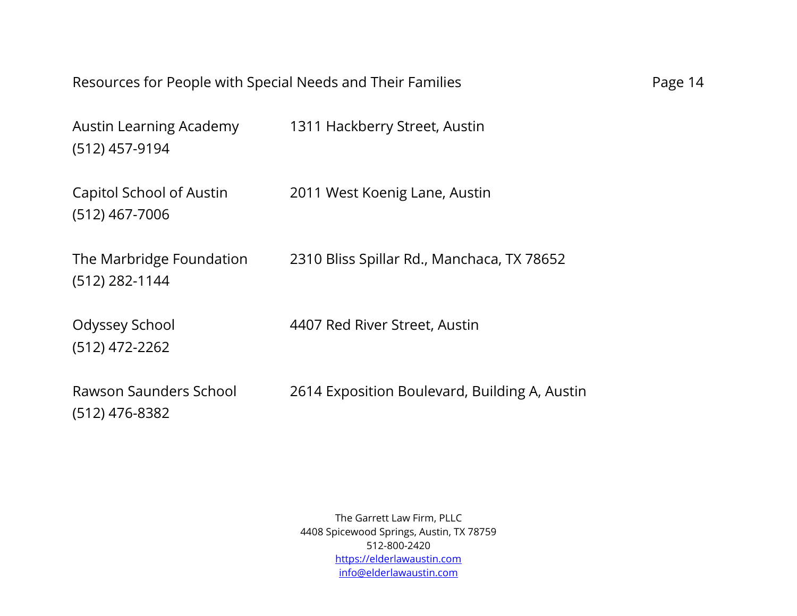| Resources for People with Special Needs and Their Families |                                               | Page 14 |
|------------------------------------------------------------|-----------------------------------------------|---------|
| Austin Learning Academy<br>(512) 457-9194                  | 1311 Hackberry Street, Austin                 |         |
| Capitol School of Austin<br>$(512)$ 467-7006               | 2011 West Koenig Lane, Austin                 |         |
| The Marbridge Foundation<br>$(512)$ 282-1144               | 2310 Bliss Spillar Rd., Manchaca, TX 78652    |         |
| Odyssey School<br>$(512)$ 472-2262                         | 4407 Red River Street, Austin                 |         |
| Rawson Saunders School<br>$(512)$ 476-8382                 | 2614 Exposition Boulevard, Building A, Austin |         |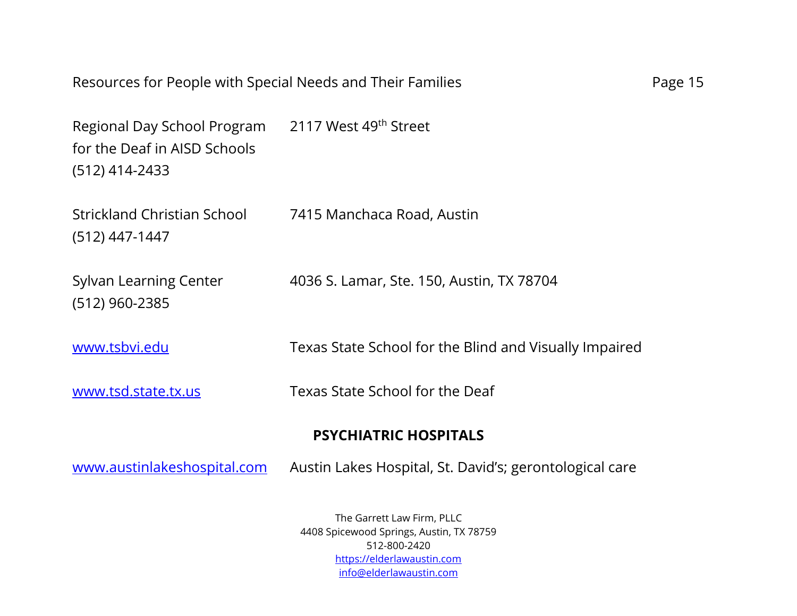| Resources for People with Special Needs and Their Families                                                        |                                                         | Page 15 |
|-------------------------------------------------------------------------------------------------------------------|---------------------------------------------------------|---------|
| Regional Day School Program 2117 West 49 <sup>th</sup> Street<br>for the Deaf in AISD Schools<br>$(512)$ 414-2433 |                                                         |         |
| Strickland Christian School<br>$(512)$ 447-1447                                                                   | 7415 Manchaca Road, Austin                              |         |
| <b>Sylvan Learning Center</b><br>$(512)$ 960-2385                                                                 | 4036 S. Lamar, Ste. 150, Austin, TX 78704               |         |
| www.tsbvi.edu                                                                                                     | Texas State School for the Blind and Visually Impaired  |         |
| www.tsd.state.tx.us                                                                                               | Texas State School for the Deaf                         |         |
|                                                                                                                   | <b>PSYCHIATRIC HOSPITALS</b>                            |         |
| www.austinlakeshospital.com                                                                                       | Austin Lakes Hospital, St. David's; gerontological care |         |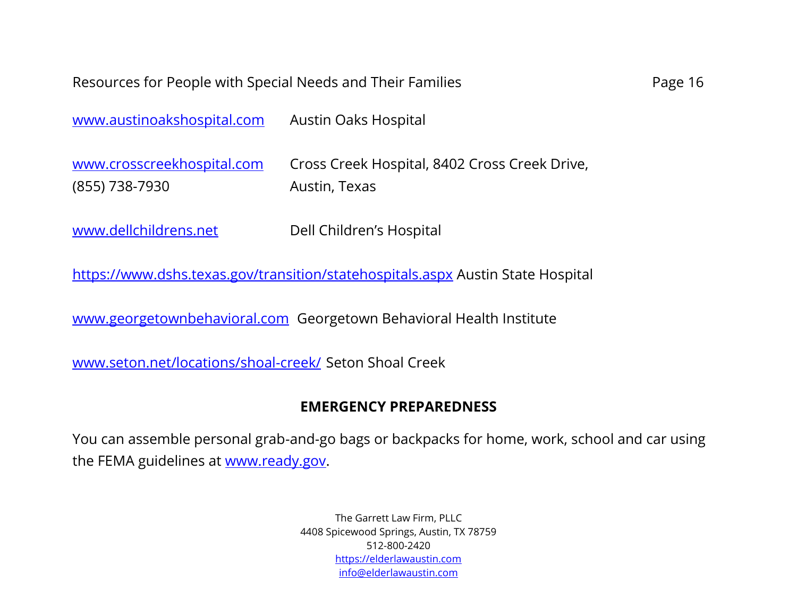| www.austinoakshospital.com | <b>Austin Oaks Hospital</b>                   |
|----------------------------|-----------------------------------------------|
| www.crosscreekhospital.com | Cross Creek Hospital, 8402 Cross Creek Drive, |
| (855) 738-7930             | Austin, Texas                                 |

[www.dellchildrens.net](http://www.dellchildrens.net/) Dell Children's Hospital

<https://www.dshs.texas.gov/transition/statehospitals.aspx>Austin State Hospital

[www.georgetownbehavioral.com](http://www.georgetownbehavioral.com/) Georgetown Behavioral Health Institute

[www.seton.net/locations/shoal-creek/](http://www.seton.net/locations/shoal-creek/) Seton Shoal Creek

#### **EMERGENCY PREPAREDNESS**

You can assemble personal grab-and-go bags or backpacks for home, work, school and car using the FEMA guidelines at [www.ready.gov.](http://www.ready.gov/)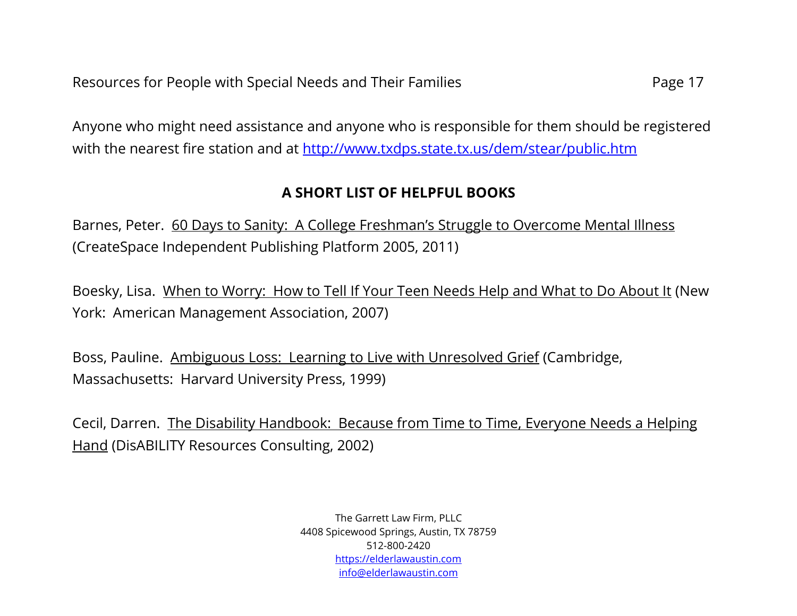Anyone who might need assistance and anyone who is responsible for them should be registered with the nearest fire station and at<http://www.txdps.state.tx.us/dem/stear/public.htm>

## **A SHORT LIST OF HELPFUL BOOKS**

Barnes, Peter. 60 Days to Sanity: A College Freshman's Struggle to Overcome Mental Illness (CreateSpace Independent Publishing Platform 2005, 2011)

Boesky, Lisa. When to Worry: How to Tell If Your Teen Needs Help and What to Do About It (New York: American Management Association, 2007)

Boss, Pauline. Ambiguous Loss: Learning to Live with Unresolved Grief (Cambridge, Massachusetts: Harvard University Press, 1999)

Cecil, Darren. The Disability Handbook: Because from Time to Time, Everyone Needs a Helping Hand (DisABILITY Resources Consulting, 2002)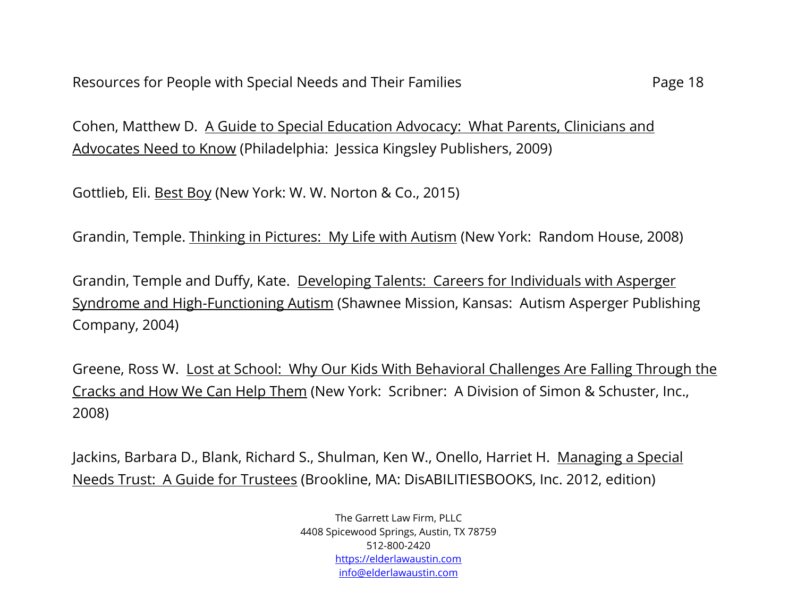Cohen, Matthew D. A Guide to Special Education Advocacy: What Parents, Clinicians and Advocates Need to Know (Philadelphia: Jessica Kingsley Publishers, 2009)

Gottlieb, Eli. Best Boy (New York: W. W. Norton & Co., 2015)

Grandin, Temple. Thinking in Pictures: My Life with Autism (New York: Random House, 2008)

Grandin, Temple and Duffy, Kate. Developing Talents: Careers for Individuals with Asperger Syndrome and High-Functioning Autism (Shawnee Mission, Kansas: Autism Asperger Publishing Company, 2004)

Greene, Ross W. Lost at School: Why Our Kids With Behavioral Challenges Are Falling Through the Cracks and How We Can Help Them (New York: Scribner: A Division of Simon & Schuster, Inc., 2008)

Jackins, Barbara D., Blank, Richard S., Shulman, Ken W., Onello, Harriet H. Managing a Special Needs Trust: A Guide for Trustees (Brookline, MA: DisABILITIESBOOKS, Inc. 2012, edition)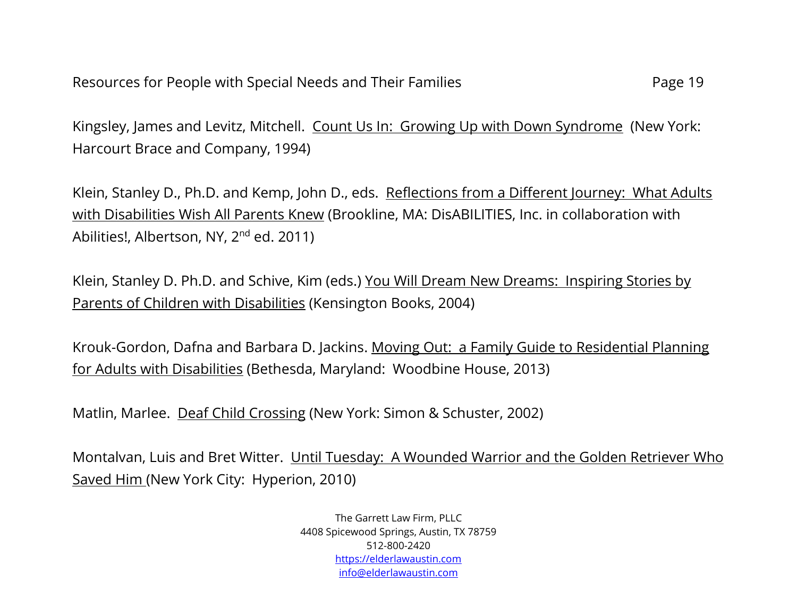Kingsley, James and Levitz, Mitchell. Count Us In: Growing Up with Down Syndrome (New York: Harcourt Brace and Company, 1994)

Klein, Stanley D., Ph.D. and Kemp, John D., eds. Reflections from a Different Journey: What Adults with Disabilities Wish All Parents Knew (Brookline, MA: DisABILITIES, Inc. in collaboration with Abilities!, Albertson, NY, 2<sup>nd</sup> ed. 2011)

Klein, Stanley D. Ph.D. and Schive, Kim (eds.) You Will Dream New Dreams: Inspiring Stories by Parents of Children with Disabilities (Kensington Books, 2004)

Krouk-Gordon, Dafna and Barbara D. Jackins. Moving Out: a Family Guide to Residential Planning for Adults with Disabilities (Bethesda, Maryland: Woodbine House, 2013)

Matlin, Marlee. Deaf Child Crossing (New York: Simon & Schuster, 2002)

Montalvan, Luis and Bret Witter. Until Tuesday: A Wounded Warrior and the Golden Retriever Who Saved Him (New York City: Hyperion, 2010)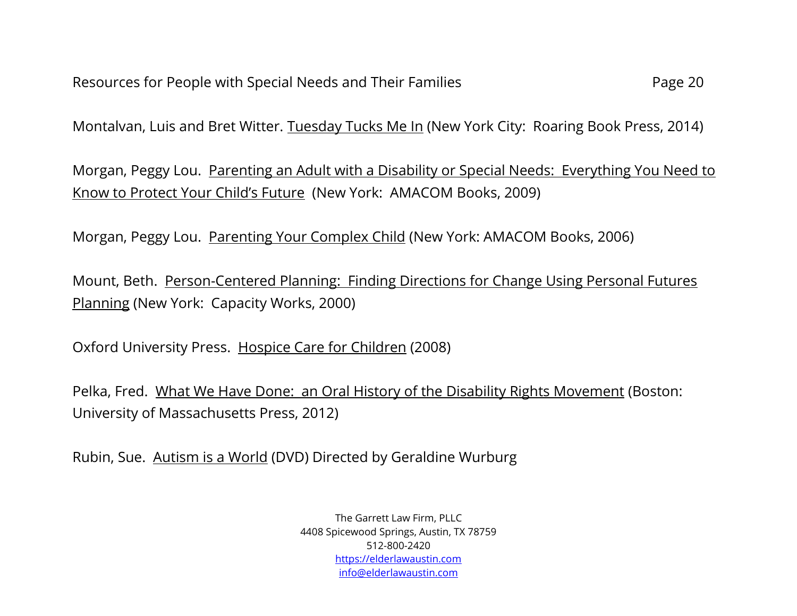Montalvan, Luis and Bret Witter. Tuesday Tucks Me In (New York City: Roaring Book Press, 2014)

Morgan, Peggy Lou. Parenting an Adult with a Disability or Special Needs: Everything You Need to Know to Protect Your Child's Future (New York: AMACOM Books, 2009)

Morgan, Peggy Lou. Parenting Your Complex Child (New York: AMACOM Books, 2006)

Mount, Beth. Person-Centered Planning: Finding Directions for Change Using Personal Futures Planning (New York: Capacity Works, 2000)

Oxford University Press. Hospice Care for Children (2008)

Pelka, Fred. What We Have Done: an Oral History of the Disability Rights Movement (Boston: University of Massachusetts Press, 2012)

Rubin, Sue. Autism is a World (DVD) Directed by Geraldine Wurburg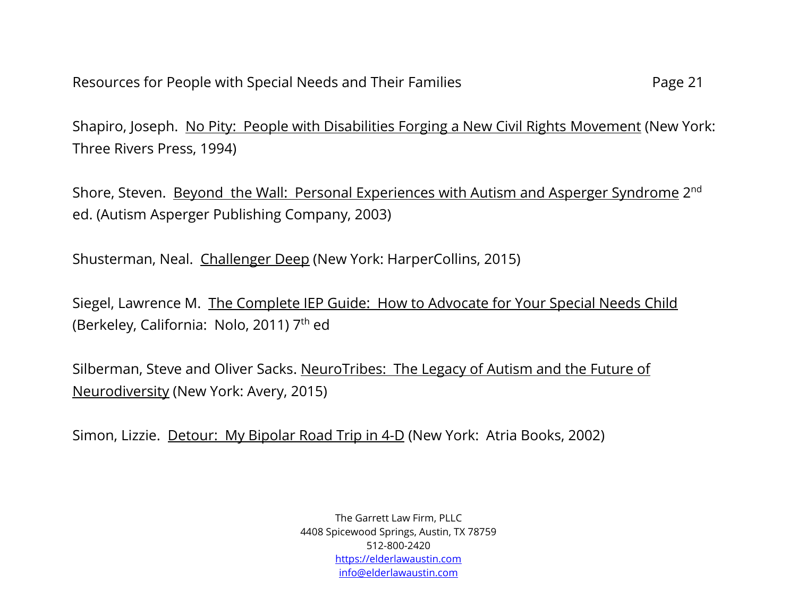Shapiro, Joseph. No Pity: People with Disabilities Forging a New Civil Rights Movement (New York: Three Rivers Press, 1994)

Shore, Steven. <u>Beyond the Wall: Personal Experiences with Autism and Asperger Syndrome</u> 2<sup>nd</sup> ed. (Autism Asperger Publishing Company, 2003)

Shusterman, Neal. Challenger Deep (New York: HarperCollins, 2015)

Siegel, Lawrence M. The Complete IEP Guide: How to Advocate for Your Special Needs Child (Berkeley, California: Nolo, 2011) 7<sup>th</sup> ed

Silberman, Steve and Oliver Sacks. NeuroTribes: The Legacy of Autism and the Future of Neurodiversity (New York: Avery, 2015)

Simon, Lizzie. Detour: My Bipolar Road Trip in 4-D (New York: Atria Books, 2002)